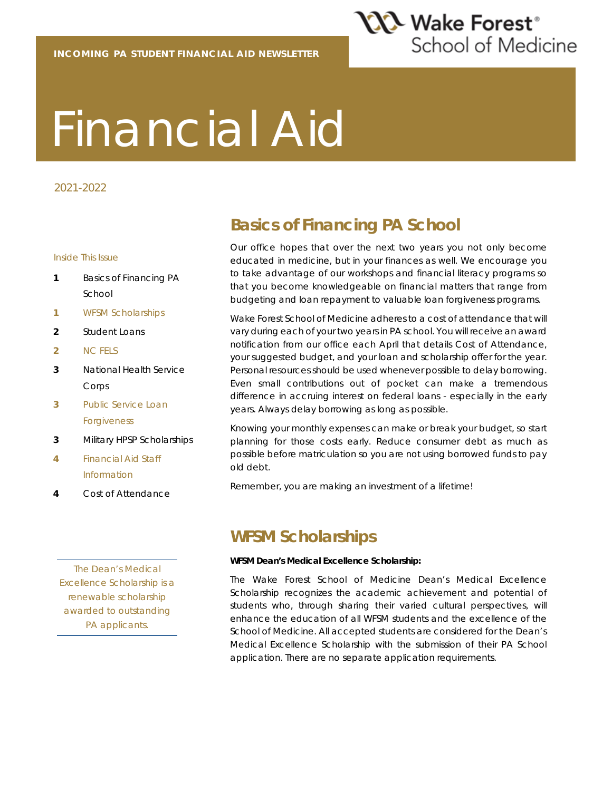

# Financial Aid

#### 2021-2022

#### Inside This Issue

- **1** Basics of Financing PA School
- **1** WFSM Scholarships
- **2** Student Loans
- **2** NC FELS
- **3** National Health Service Corps
- **3** Public Service Loan Forgiveness
- **3** Military HPSP Scholarships
- **4** Financial Aid Staff Information
- **4** Cost of Attendance

*The Dean's Medical Excellence Scholarship is a renewable scholarship awarded to outstanding PA applicants.*

## **Basics of Financing PA School**

Our office hopes that over the next two years you not only become educated in medicine, but in your finances as well. We encourage you to take advantage of our workshops and financial literacy programs so that you become knowledgeable on financial matters that range from budgeting and loan repayment to valuable loan forgiveness programs.

Wake Forest School of Medicine adheres to a cost of attendance that will vary during each of your two years in PA school. You will receive an award notification from our office each April that details Cost of Attendance, your suggested budget, and your loan and scholarship offer for the year. Personal resources should be used whenever possible to delay borrowing. Even small contributions out of pocket can make a tremendous difference in accruing interest on federal loans - especially in the early years. Always delay borrowing as long as possible.

Knowing your monthly expenses can make or break your budget, so start planning for those costs early. Reduce consumer debt as much as possible before matriculation so you are not using borrowed funds to pay old debt.

Remember, you are making an investment of a lifetime!

#### **WFSM Scholarships**

#### **WFSM Dean's Medical Excellence Scholarship:**

The Wake Forest School of Medicine Dean's Medical Excellence Scholarship recognizes the academic achievement and potential of students who, through sharing their varied cultural perspectives, will enhance the education of all WFSM students and the excellence of the School of Medicine. All accepted students are considered for the Dean's Medical Excellence Scholarship with the submission of their PA School application. There are no separate application requirements.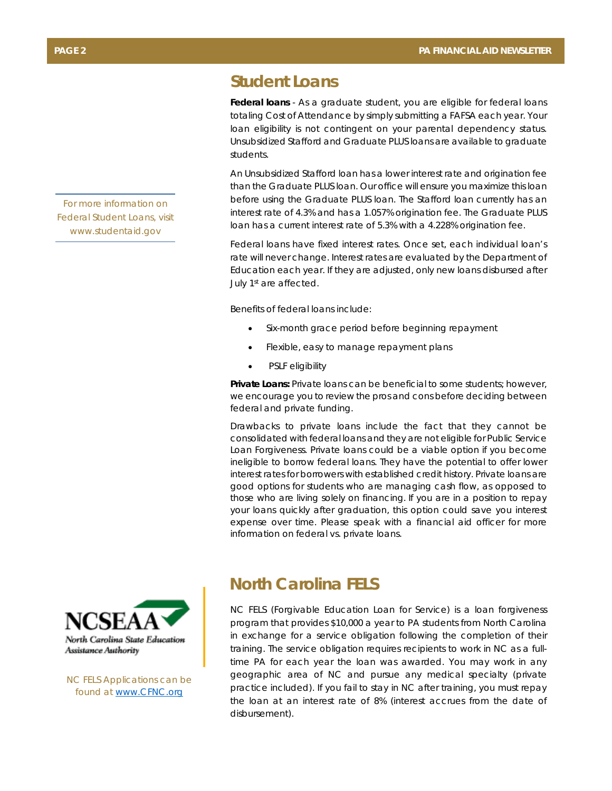### **Student Loans**

**Federal loans** - As a graduate student, you are eligible for federal loans totaling Cost of Attendance by simply submitting a FAFSA each year. Your loan eligibility is not contingent on your parental dependency status. Unsubsidized Stafford and Graduate PLUS loans are available to graduate students.

An Unsubsidized Stafford loan has a lower interest rate and origination fee than the Graduate PLUS loan. Our office will ensure you maximize this loan before using the Graduate PLUS loan. The Stafford loan currently has an interest rate of 4.3% and has a 1.057% origination fee. The Graduate PLUS loan has a current interest rate of 5.3% with a 4.228% origination fee.

Federal loans have fixed interest rates. Once set, each individual loan's rate will never change. Interest rates are evaluated by the Department of Education each year. If they are adjusted, only new loans disbursed after July 1<sup>st</sup> are affected.

Benefits of federal loans include:

- Six-month grace period before beginning repayment
- Flexible, easy to manage repayment plans
- PSLF eligibility

**Private Loans:** Private loans can be beneficial to some students; however, we encourage you to review the pros and cons before deciding between federal and private funding.

Drawbacks to private loans include the fact that they cannot be consolidated with federal loans and they are not eligible for Public Service Loan Forgiveness. Private loans could be a viable option if you become ineligible to borrow federal loans. They have the potential to offer lower interest rates for borrowers with established credit history. Private loans are good options for students who are managing cash flow, as opposed to those who are living solely on financing. If you are in a position to repay your loans quickly after graduation, this option could save you interest expense over time. Please speak with a financial aid officer for more information on federal vs. private loans.

#### **North Carolina FELS**

NC FELS (Forgivable Education Loan for Service) is a loan forgiveness program that provides \$10,000 a year to PA students from North Carolina in exchange for a service obligation following the completion of their training. The service obligation requires recipients to work in NC as a fulltime PA for each year the loan was awarded. You may work in any geographic area of NC and pursue any medical specialty (private practice included). If you fail to stay in NC after training, you must repay the loan at an interest rate of 8% (interest accrues from the date of disbursement).

*For more information on Federal Student Loans, visit www.studentaid.gov* 



*NC FELS Applications can be found at www.CFNC.org*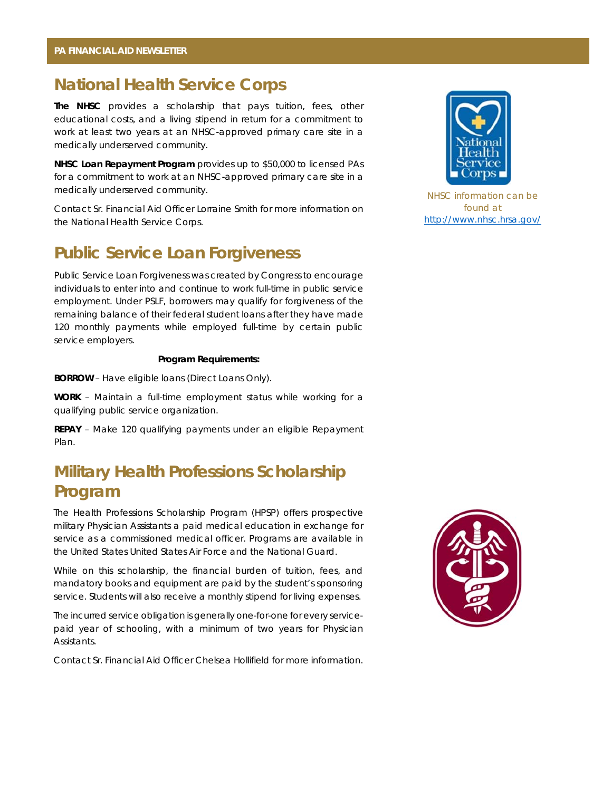#### **National Health Service Corps**

**The NHSC** provides a scholarship that pays tuition, fees, other educational costs, and a living stipend in return for a commitment to work at least two years at an NHSC-approved primary care site in a medically underserved community.

**NHSC Loan Repayment Program** provides up to \$50,000 to licensed PAs for a commitment to work at an NHSC-approved primary care site in a medically underserved community.

Contact Sr. Financial Aid Officer Lorraine Smith for more information on the National Health Service Corps.

#### **Public Service Loan Forgiveness**

Public Service Loan Forgiveness was created by Congress to encourage individuals to enter into and continue to work full-time in public service employment. Under PSLF, borrowers may qualify for forgiveness of the remaining balance of their federal student loans after they have made 120 monthly payments while employed full-time by certain public service employers.

#### **Program Requirements:**

**BORROW** – Have eligible loans (Direct Loans Only).

**WORK** – Maintain a full-time employment status while working for a qualifying public service organization.

**REPAY** – Make 120 qualifying payments under an eligible Repayment Plan.

## **Military Health Professions Scholarship Program**

The Health Professions Scholarship Program (HPSP) offers prospective military Physician Assistants a paid medical education in exchange for service as a commissioned medical officer. Programs are available in the United States United States Air Force and the National Guard.

While on this scholarship, the financial burden of tuition, fees, and mandatory books and equipment are paid by the student's sponsoring service. Students will also receive a monthly stipend for living expenses.

The incurred service obligation is generally one-for-one for every servicepaid year of schooling, with a minimum of two years for Physician Assistants.

Contact Sr. Financial Aid Officer Chelsea Hollifield for more information.



*NHSC information can be found at http://www.nhsc.hrsa.gov/*